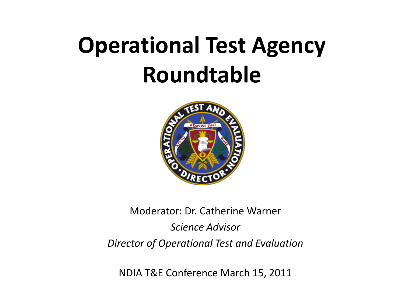# **Operational Test Agency Roundtable**



#### Moderator: Dr. Catherine Warner *Science Advisor Director of Operational Test and Evaluation*

NDIA T&E Conference March 15, 2011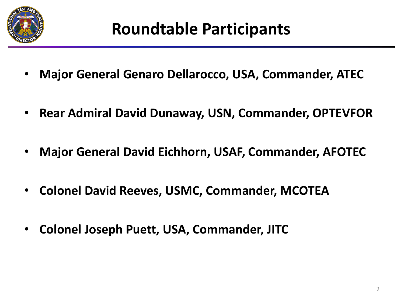

- **Major General Genaro Dellarocco, USA, Commander, ATEC**
- **Rear Admiral David Dunaway, USN, Commander, OPTEVFOR**
- **Major General David Eichhorn, USAF, Commander, AFOTEC**
- **Colonel David Reeves, USMC, Commander, MCOTEA**
- **Colonel Joseph Puett, USA, Commander, JITC**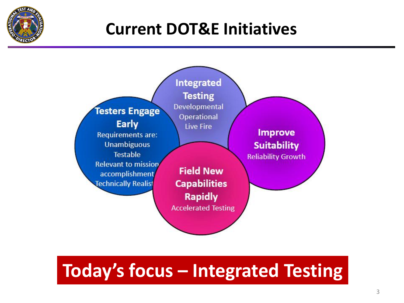

#### **Current DOT&E Initiatives**



### **Today's focus – Integrated Testing**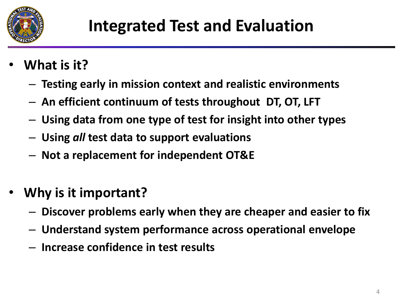

- **What is it?**
	- **Testing early in mission context and realistic environments**
	- **An efficient continuum of tests throughout DT, OT, LFT**
	- **Using data from one type of test for insight into other types**
	- **Using** *all* **test data to support evaluations**
	- **Not a replacement for independent OT&E**
- **Why is it important?**
	- **Discover problems early when they are cheaper and easier to fix**
	- **Understand system performance across operational envelope**
	- **Increase confidence in test results**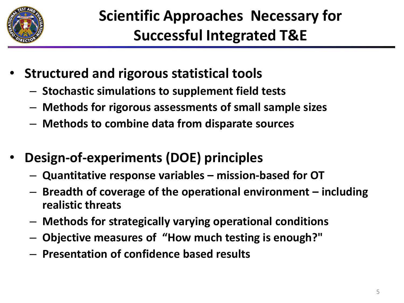

- **Structured and rigorous statistical tools**
	- **Stochastic simulations to supplement field tests**
	- **Methods for rigorous assessments of small sample sizes**
	- **Methods to combine data from disparate sources**
- **Design-of-experiments (DOE) principles**
	- **Quantitative response variables – mission-based for OT**
	- **Breadth of coverage of the operational environment – including realistic threats**
	- **Methods for strategically varying operational conditions**
	- **Objective measures of "How much testing is enough?"**
	- **Presentation of confidence based results**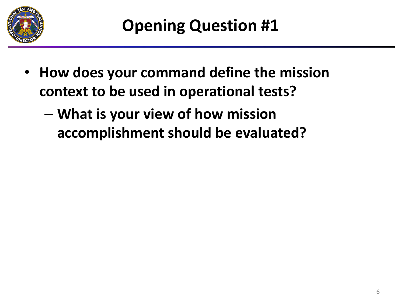

- **How does your command define the mission context to be used in operational tests?**
	- **What is your view of how mission accomplishment should be evaluated?**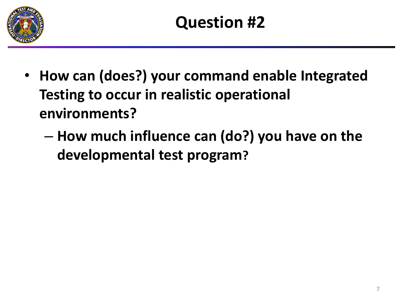

- **How can (does?) your command enable Integrated Testing to occur in realistic operational environments?**
	- **How much influence can (do?) you have on the developmental test program?**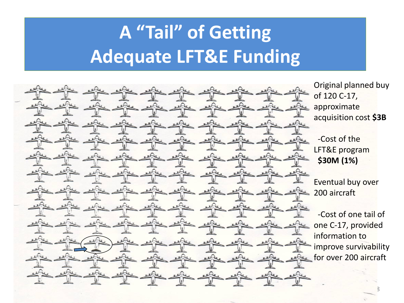## **A "Tail" of Getting Adequate LFT&E Funding**



Original planned buy of 120 C-17, approximate acquisition cost **\$3B**

-Cost of the LFT&E program **\$30M (1%)**

Eventual buy over 200 aircraft

-Cost of one tail of one C-17, provided information to improve survivability for over 200 aircraft

8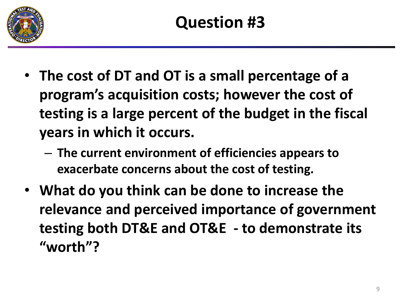

- **The cost of DT and OT is a small percentage of a program's acquisition costs; however the cost of testing is a large percent of the budget in the fiscal years in which it occurs.** 
	- **The current environment of efficiencies appears to exacerbate concerns about the cost of testing.**
- **What do you think can be done to increase the relevance and perceived importance of government testing both DT&E and OT&E - to demonstrate its "worth"?**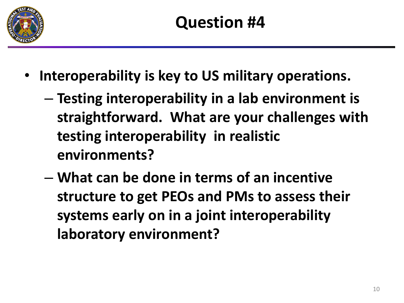

- **Interoperability is key to US military operations.** 
	- **Testing interoperability in a lab environment is straightforward. What are your challenges with testing interoperability in realistic environments?**
	- **What can be done in terms of an incentive structure to get PEOs and PMs to assess their systems early on in a joint interoperability laboratory environment?**